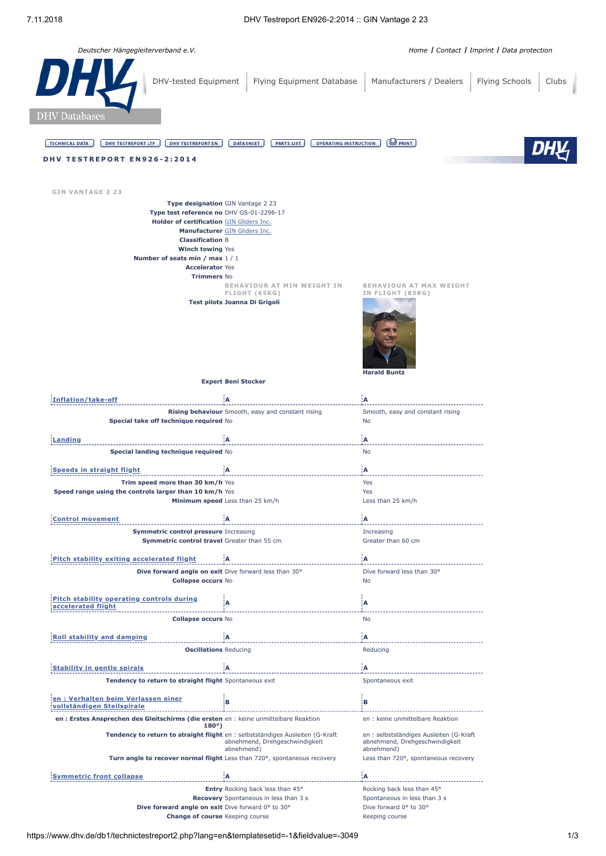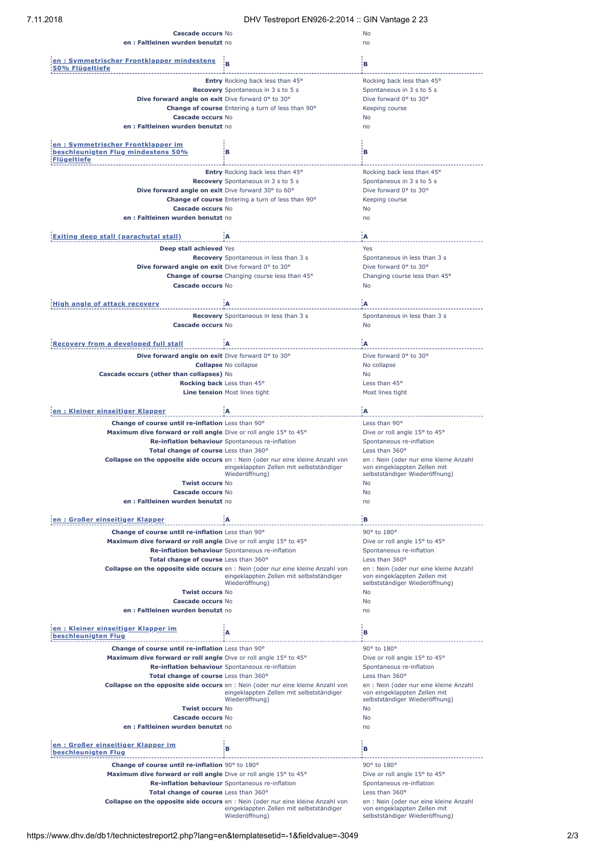| Cascade occurs No<br>en: Faltleinen wurden benutzt no                                                                   |                                                                                        | No<br>no                               |
|-------------------------------------------------------------------------------------------------------------------------|----------------------------------------------------------------------------------------|----------------------------------------|
| en: Symmetrischer Frontklapper mindestens<br>50% Flügeltiefe                                                            | R                                                                                      | в                                      |
|                                                                                                                         | Entry Rocking back less than 45°                                                       | Rocking back less than 45°             |
|                                                                                                                         |                                                                                        |                                        |
|                                                                                                                         | Recovery Spontaneous in 3 s to 5 s                                                     | Spontaneous in 3 s to 5 s              |
| Dive forward angle on exit Dive forward 0° to 30°                                                                       |                                                                                        | Dive forward 0° to 30°                 |
|                                                                                                                         | <b>Change of course</b> Entering a turn of less than 90°                               | Keeping course                         |
| Cascade occurs No                                                                                                       |                                                                                        | No                                     |
|                                                                                                                         |                                                                                        |                                        |
| en: Faltleinen wurden benutzt no                                                                                        |                                                                                        | no                                     |
|                                                                                                                         |                                                                                        |                                        |
| en: Symmetrischer Frontklapper im                                                                                       |                                                                                        |                                        |
| beschleunigten Flug mindestens 50%                                                                                      | в                                                                                      | в                                      |
| Flügeltiefe                                                                                                             |                                                                                        |                                        |
|                                                                                                                         |                                                                                        |                                        |
|                                                                                                                         | Entry Rocking back less than 45°                                                       | Rocking back less than 45°             |
|                                                                                                                         | <b>Recovery</b> Spontaneous in 3 s to 5 s                                              | Spontaneous in 3 s to 5 s              |
| Dive forward angle on exit Dive forward 30° to 60°                                                                      |                                                                                        | Dive forward 0° to 30°                 |
|                                                                                                                         |                                                                                        |                                        |
|                                                                                                                         | <b>Change of course</b> Entering a turn of less than 90°                               | Keeping course                         |
| Cascade occurs No                                                                                                       |                                                                                        | No                                     |
| en: Faltleinen wurden benutzt no                                                                                        |                                                                                        | n <sub>0</sub>                         |
|                                                                                                                         |                                                                                        |                                        |
|                                                                                                                         |                                                                                        |                                        |
| Exiting deep stall (parachutal stall)                                                                                   | łА:                                                                                    | ۱A.                                    |
| Deep stall achieved Yes                                                                                                 |                                                                                        | Yes                                    |
|                                                                                                                         |                                                                                        |                                        |
|                                                                                                                         | <b>Recovery</b> Spontaneous in less than 3 s                                           | Spontaneous in less than 3 s           |
| Dive forward angle on exit Dive forward 0° to 30°                                                                       |                                                                                        | Dive forward 0° to 30°                 |
|                                                                                                                         | Change of course Changing course less than 45°                                         | Changing course less than 45°          |
| Cascade occurs No                                                                                                       |                                                                                        | No                                     |
|                                                                                                                         |                                                                                        |                                        |
|                                                                                                                         |                                                                                        |                                        |
| High angle of attack recovery                                                                                           | ÷А                                                                                     | ÷А                                     |
|                                                                                                                         | <b>Recovery</b> Spontaneous in less than 3 s                                           | Spontaneous in less than 3 s           |
|                                                                                                                         |                                                                                        |                                        |
| Cascade occurs No                                                                                                       |                                                                                        | <b>No</b>                              |
|                                                                                                                         |                                                                                        |                                        |
| Recovery from a developed full stall                                                                                    | ¦Α                                                                                     | łА.                                    |
|                                                                                                                         |                                                                                        |                                        |
| Dive forward angle on exit Dive forward 0° to 30°                                                                       |                                                                                        | Dive forward 0° to 30°                 |
|                                                                                                                         | <b>Collapse No collapse</b>                                                            | No collapse                            |
| Cascade occurs (other than collapses) No                                                                                |                                                                                        | No                                     |
|                                                                                                                         |                                                                                        |                                        |
|                                                                                                                         | <b>Rocking back</b> Less than 45°                                                      | Less than 45°                          |
|                                                                                                                         | Line tension Most lines tight                                                          | Most lines tight                       |
|                                                                                                                         |                                                                                        |                                        |
| en: Kleiner einseitiger Klapper                                                                                         | ۱A.                                                                                    | ۱A.                                    |
|                                                                                                                         |                                                                                        |                                        |
| Change of course until re-inflation Less than 90°                                                                       |                                                                                        | Less than 90°                          |
| Maximum dive forward or roll angle Dive or roll angle 15° to 45°                                                        |                                                                                        | Dive or roll angle 15° to 45°          |
|                                                                                                                         | Re-inflation behaviour Spontaneous re-inflation                                        | Spontaneous re-inflation               |
|                                                                                                                         |                                                                                        |                                        |
| Total change of course Less than 360°                                                                                   |                                                                                        | Less than $360^\circ$                  |
|                                                                                                                         | Collapse on the opposite side occurs en : Nein (oder nur eine kleine Anzahl von        | en : Nein (oder nur eine kleine Anzahl |
|                                                                                                                         | eingeklappten Zellen mit selbstständiger                                               | von eingeklappten Zellen mit           |
|                                                                                                                         | Wiederöffnung)                                                                         | selbstständiger Wiederöffnung)         |
| <b>Twist occurs No</b>                                                                                                  |                                                                                        | No                                     |
| Cascade occurs No                                                                                                       |                                                                                        | No                                     |
| en: Faltleinen wurden benutzt no                                                                                        |                                                                                        | no                                     |
|                                                                                                                         |                                                                                        |                                        |
|                                                                                                                         |                                                                                        |                                        |
| en: Großer einseitiger Klapper                                                                                          | ۱A                                                                                     | :в                                     |
| Change of course until re-inflation Less than 90°                                                                       |                                                                                        | 90° to 180°                            |
|                                                                                                                         |                                                                                        |                                        |
|                                                                                                                         |                                                                                        |                                        |
| Maximum dive forward or roll angle Dive or roll angle 15° to 45°                                                        |                                                                                        | Dive or roll angle 15° to 45°          |
|                                                                                                                         | Re-inflation behaviour Spontaneous re-inflation                                        | Spontaneous re-inflation               |
| Total change of course Less than 360°                                                                                   |                                                                                        | Less than 360°                         |
|                                                                                                                         |                                                                                        |                                        |
|                                                                                                                         | <b>Collapse on the opposite side occurs</b> en : Nein (oder nur eine kleine Anzahl von | en : Nein (oder nur eine kleine Anzahl |
|                                                                                                                         | eingeklappten Zellen mit selbstständiger<br>Wiederöffnung)                             | von eingeklappten Zellen mit           |
|                                                                                                                         |                                                                                        | selbstständiger Wiederöffnung)         |
| <b>Twist occurs No</b>                                                                                                  |                                                                                        | No                                     |
| Cascade occurs No                                                                                                       |                                                                                        | No                                     |
| en: Faltleinen wurden benutzt no                                                                                        |                                                                                        | no                                     |
|                                                                                                                         |                                                                                        |                                        |
|                                                                                                                         |                                                                                        |                                        |
|                                                                                                                         | Α                                                                                      | в                                      |
|                                                                                                                         |                                                                                        |                                        |
| Change of course until re-inflation Less than 90°                                                                       |                                                                                        | 90° to 180°                            |
|                                                                                                                         |                                                                                        | Dive or roll angle 15° to 45°          |
| Maximum dive forward or roll angle Dive or roll angle 15° to 45°                                                        |                                                                                        |                                        |
|                                                                                                                         | Re-inflation behaviour Spontaneous re-inflation                                        | Spontaneous re-inflation               |
| Total change of course Less than 360°                                                                                   |                                                                                        | Less than 360°                         |
|                                                                                                                         | <b>Collapse on the opposite side occurs</b> en : Nein (oder nur eine kleine Anzahl von | en : Nein (oder nur eine kleine Anzahl |
|                                                                                                                         | eingeklappten Zellen mit selbstständiger                                               | von eingeklappten Zellen mit           |
|                                                                                                                         | Wiederöffnung)                                                                         | selbstständiger Wiederöffnung)         |
|                                                                                                                         |                                                                                        |                                        |
| <b>Twist occurs No</b>                                                                                                  |                                                                                        | No                                     |
| <b>Cascade occurs No</b>                                                                                                |                                                                                        | No                                     |
| en: Faltleinen wurden benutzt no                                                                                        |                                                                                        | no                                     |
|                                                                                                                         |                                                                                        |                                        |
|                                                                                                                         |                                                                                        |                                        |
|                                                                                                                         | в                                                                                      | B                                      |
|                                                                                                                         |                                                                                        |                                        |
|                                                                                                                         |                                                                                        | 90° to 180°                            |
| Change of course until re-inflation 90° to 180°                                                                         |                                                                                        |                                        |
| Maximum dive forward or roll angle Dive or roll angle 15° to 45°                                                        |                                                                                        | Dive or roll angle 15° to 45°          |
|                                                                                                                         | Re-inflation behaviour Spontaneous re-inflation                                        | Spontaneous re-inflation               |
| Total change of course Less than 360°                                                                                   |                                                                                        | Less than 360°                         |
| en : Kleiner einseitiger Klapper im<br>beschleunigten Flug<br>en : Großer einseitiger Klapper im<br>beschleunigten Flug | <b>Collapse on the opposite side occurs</b> en : Nein (oder nur eine kleine Anzahl von | en : Nein (oder nur eine kleine Anzahl |